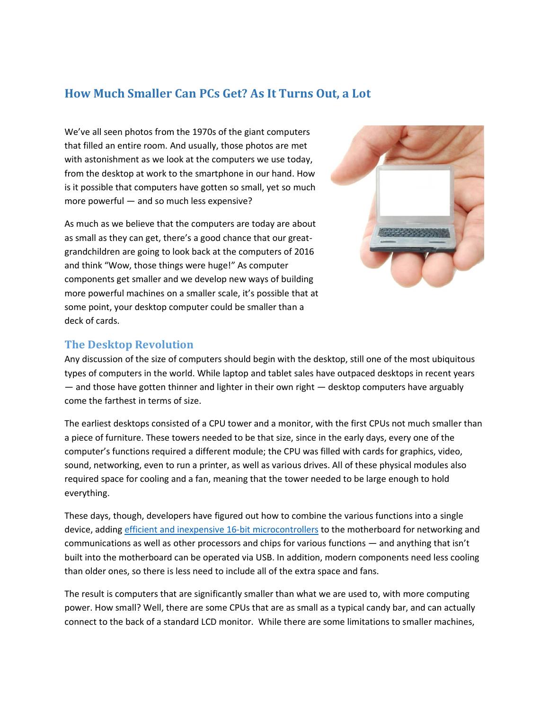## **How Much Smaller Can PCs Get? As It Turns Out, a Lot**

We've all seen photos from the 1970s of the giant computers that filled an entire room. And usually, those photos are met with astonishment as we look at the computers we use today, from the desktop at work to the smartphone in our hand. How is it possible that computers have gotten so small, yet so much more powerful — and so much less expensive?

As much as we believe that the computers are today are about as small as they can get, there's a good chance that our greatgrandchildren are going to look back at the computers of 2016 and think "Wow, those things were huge!" As computer components get smaller and we develop new ways of building more powerful machines on a smaller scale, it's possible that at some point, your desktop computer could be smaller than a deck of cards.



## **The Desktop Revolution**

Any discussion of the size of computers should begin with the desktop, still one of the most ubiquitous types of computers in the world. While laptop and tablet sales have outpaced desktops in recent years — and those have gotten thinner and lighter in their own right — desktop computers have arguably come the farthest in terms of size.

The earliest desktops consisted of a CPU tower and a monitor, with the first CPUs not much smaller than a piece of furniture. These towers needed to be that size, since in the early days, every one of the computer's functions required a different module; the CPU was filled with cards for graphics, video, sound, networking, even to run a printer, as well as various drives. All of these physical modules also required space for cooling and a fan, meaning that the tower needed to be large enough to hold everything.

These days, though, developers have figured out how to combine the various functions into a single device, adding [efficient and inexpensive](http://www.microchip.com/design-centers/16-bit) 16-bit microcontrollers to the motherboard for networking and communications as well as other processors and chips for various functions — and anything that isn't built into the motherboard can be operated via USB. In addition, modern components need less cooling than older ones, so there is less need to include all of the extra space and fans.

The result is computers that are significantly smaller than what we are used to, with more computing power. How small? Well, there are some CPUs that are as small as a typical candy bar, and can actually connect to the back of a standard LCD monitor. While there are some limitations to smaller machines,